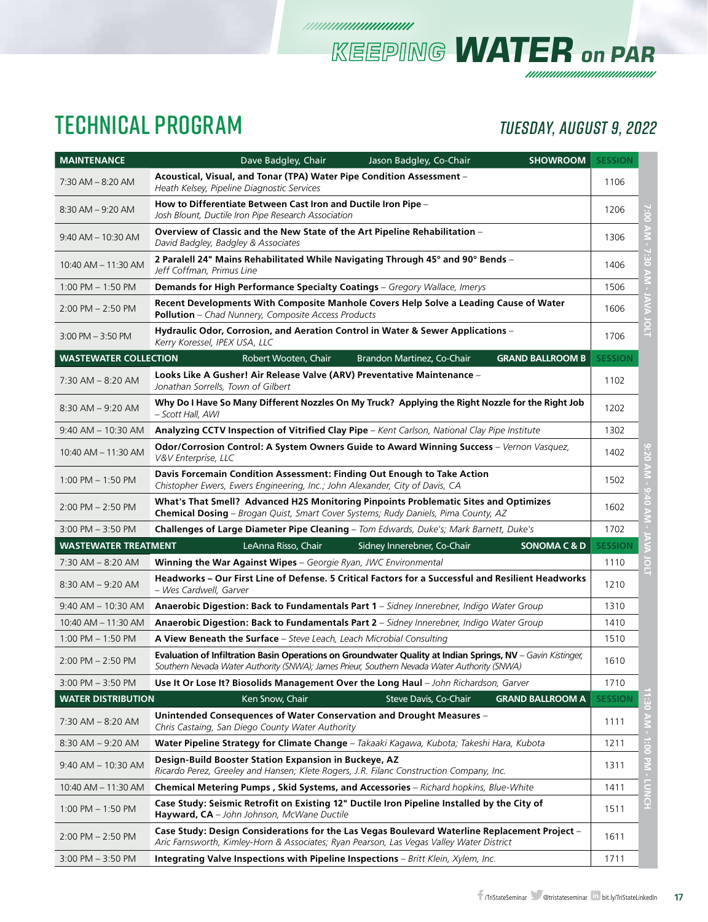# TECHNICAL PROGRAM *TUESDAY, AUGUST 9, 2022*

*KEEPING WATER on PAR*

| <b>MAINTENANCE</b>           | <b>SHOWROOM</b><br>Dave Badgley, Chair<br>Jason Badgley, Co-Chair                                                                                                                                           | <b>SESSION</b> |                 |
|------------------------------|-------------------------------------------------------------------------------------------------------------------------------------------------------------------------------------------------------------|----------------|-----------------|
| $7:30$ AM $-8:20$ AM         | Acoustical, Visual, and Tonar (TPA) Water Pipe Condition Assessment –<br>Heath Kelsey, Pipeline Diagnostic Services                                                                                         | 1106           |                 |
| $8:30$ AM $-9:20$ AM         | How to Differentiate Between Cast Iron and Ductile Iron Pipe -<br>Josh Blount, Ductile Iron Pipe Research Association                                                                                       | 1206           |                 |
| 9:40 AM - 10:30 AM           | Overview of Classic and the New State of the Art Pipeline Rehabilitation -<br>David Badgley, Badgley & Associates                                                                                           | 1306           |                 |
| 10:40 AM - 11:30 AM          | 2 Paralell 24" Mains Rehabilitated While Navigating Through 45° and 90° Bends -<br>Jeff Coffman, Primus Line                                                                                                | 1406           |                 |
| $1:00$ PM $-1:50$ PM         | <b>Demands for High Performance Specialty Coatings</b> - Gregory Wallace, Imerys                                                                                                                            | 1506           |                 |
| $2:00$ PM $- 2:50$ PM        | Recent Developments With Composite Manhole Covers Help Solve a Leading Cause of Water<br>Pollution - Chad Nunnery, Composite Access Products                                                                | 1606           |                 |
| $3:00$ PM $-3:50$ PM         | Hydraulic Odor, Corrosion, and Aeration Control in Water & Sewer Applications -<br>Kerry Koressel, IPEX USA, LLC                                                                                            | 1706           | $\circ$<br>Ĕ    |
| <b>WASTEWATER COLLECTION</b> | Robert Wooten, Chair<br>Brandon Martinez, Co-Chair<br><b>GRAND BALLROOM B</b>                                                                                                                               | <b>SESSION</b> |                 |
| 7:30 AM - 8:20 AM            | Looks Like A Gusher! Air Release Valve (ARV) Preventative Maintenance –<br>Jonathan Sorrells, Town of Gilbert                                                                                               | 1102           |                 |
| $8:30$ AM $-9:20$ AM         | Why Do I Have So Many Different Nozzles On My Truck? Applying the Right Nozzle for the Right Job<br>– Scott Hall, AWI                                                                                       | 1202           |                 |
| $9:40$ AM $-$ 10:30 AM       | Analyzing CCTV Inspection of Vitrified Clay Pipe - Kent Carlson, National Clay Pipe Institute                                                                                                               | 1302           |                 |
| 10:40 AM - 11:30 AM          | Odor/Corrosion Control: A System Owners Guide to Award Winning Success - Vernon Vasquez,<br>V&V Enterprise, LLC                                                                                             | 1402           | ،<br>20         |
| $1:00$ PM $-1:50$ PM         | Davis Forcemain Condition Assessment: Finding Out Enough to Take Action<br>Chistopher Ewers, Ewers Engineering, Inc.; John Alexander, City of Davis, CA                                                     | 1502           |                 |
| $2:00$ PM $- 2:50$ PM        | What's That Smell? Advanced H2S Monitoring Pinpoints Problematic Sites and Optimizes<br>Chemical Dosing - Brogan Quist, Smart Cover Systems; Rudy Daniels, Pima County, AZ                                  | 1602           |                 |
| $3:00$ PM $-3:50$ PM         | <b>Challenges of Large Diameter Pipe Cleaning</b> – Tom Edwards, Duke's; Mark Barnett, Duke's                                                                                                               | 1702           |                 |
| <b>WASTEWATER TREATMENT</b>  | LeAnna Risso, Chair<br>Sidney Innerebner, Co-Chair<br><b>SONOMA C &amp; D</b>                                                                                                                               | <b>SESSION</b> |                 |
| 7:30 AM - 8:20 AM            | Winning the War Against Wipes - Georgie Ryan, JWC Environmental                                                                                                                                             | 1110           | $\circ$<br>E    |
| $8:30$ AM $-9:20$ AM         | Headworks - Our First Line of Defense. 5 Critical Factors for a Successful and Resilient Headworks<br>– Wes Cardwell, Garver                                                                                | 1210           |                 |
| $9:40$ AM $- 10:30$ AM       | Anaerobic Digestion: Back to Fundamentals Part 1 - Sidney Innerebner, Indigo Water Group                                                                                                                    | 1310           |                 |
| 10:40 AM - 11:30 AM          | Anaerobic Digestion: Back to Fundamentals Part 2 - Sidney Innerebner, Indigo Water Group                                                                                                                    | 1410           |                 |
| $1:00$ PM $- 1:50$ PM        | A View Beneath the Surface - Steve Leach, Leach Microbial Consulting                                                                                                                                        | 1510           |                 |
| $2:00$ PM $- 2:50$ PM        | Evaluation of Infiltration Basin Operations on Groundwater Quality at Indian Springs, NV - Gavin Kistinger,<br>Southern Nevada Water Authority (SNWA); James Prieur, Southern Nevada Water Authority (SNWA) | 1610           |                 |
| $3:00$ PM $-3:50$ PM         | Use It Or Lose It? Biosolids Management Over the Long Haul - John Richardson, Garver                                                                                                                        | 1710           |                 |
| <b>WATER DISTRIBUTION</b>    | <b>GRAND BALLROOM A</b><br>Ken Snow, Chair<br>Steve Davis, Co-Chair                                                                                                                                         | <b>SESSION</b> |                 |
| 7:30 AM – 8:20 AM            | Unintended Consequences of Water Conservation and Drought Measures -<br>Chris Castaing, San Diego County Water Authority                                                                                    | 1111           |                 |
| 8:30 AM – 9:20 AM            | Water Pipeline Strategy for Climate Change - Takaaki Kagawa, Kubota; Takeshi Hara, Kubota                                                                                                                   | 1211           | $\overline{10}$ |
| 9:40 AM - 10:30 AM           | Design-Build Booster Station Expansion in Buckeye, AZ<br>Ricardo Perez, Greeley and Hansen; Klete Rogers, J.R. Filanc Construction Company, Inc.                                                            | 1311           | $-M -$          |
| 10:40 AM - 11:30 AM          | Chemical Metering Pumps, Skid Systems, and Accessories - Richard hopkins, Blue-White                                                                                                                        | 1411           | <b>LUNCH</b>    |
| $1:00$ PM $- 1:50$ PM        | Case Study: Seismic Retrofit on Existing 12" Ductile Iron Pipeline Installed by the City of<br>Hayward, CA - John Johnson, McWane Ductile                                                                   | 1511           |                 |
| $2:00$ PM $- 2:50$ PM        | Case Study: Design Considerations for the Las Vegas Boulevard Waterline Replacement Project -<br>Aric Farnsworth, Kimley-Horn & Associates; Ryan Pearson, Las Vegas Valley Water District                   | 1611           |                 |
| $3:00$ PM $-3:50$ PM         | Integrating Valve Inspections with Pipeline Inspections - Britt Klein, Xylem, Inc.                                                                                                                          | 1711           |                 |

*mmmmmmmm*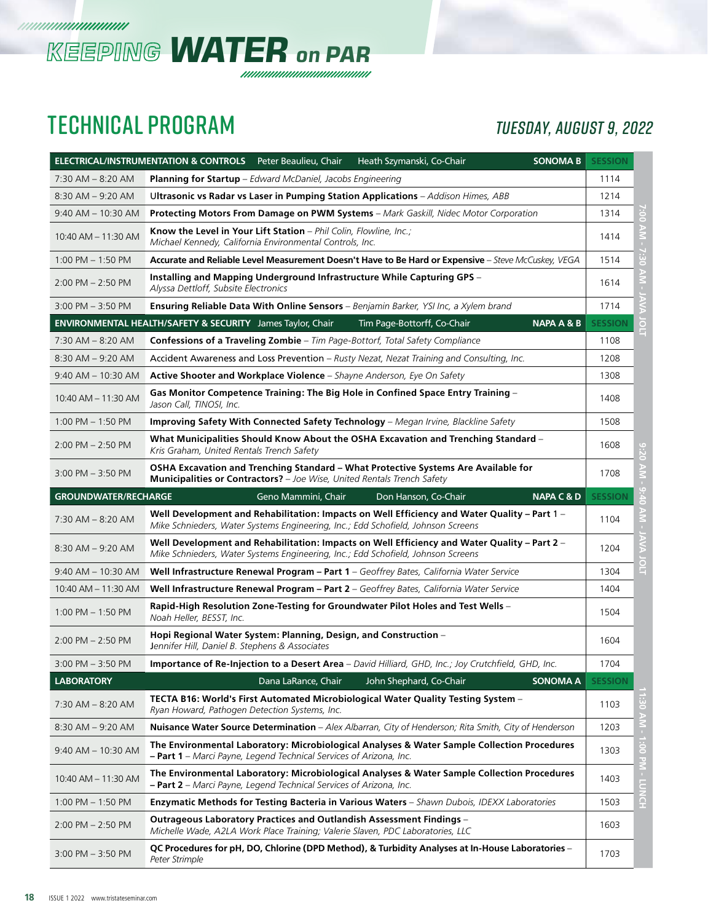



### TECHNICAL PROGRAM *TUESDAY, AUGUST 9, 2022*

|                             | <b>ELECTRICAL/INSTRUMENTATION &amp; CONTROLS</b><br><b>SONOMA B</b><br>Peter Beaulieu, Chair<br>Heath Szymanski, Co-Chair                                                        | <b>SESSION</b> |                 |
|-----------------------------|----------------------------------------------------------------------------------------------------------------------------------------------------------------------------------|----------------|-----------------|
| $7:30$ AM $-$ 8:20 AM       | <b>Planning for Startup</b> – Edward McDaniel, Jacobs Engineering                                                                                                                | 1114           |                 |
| $8:30$ AM $-9:20$ AM        | Ultrasonic vs Radar vs Laser in Pumping Station Applications - Addison Himes, ABB                                                                                                | 1214           |                 |
| $9:40$ AM $- 10:30$ AM      | Protecting Motors From Damage on PWM Systems - Mark Gaskill, Nidec Motor Corporation                                                                                             | 1314           | $\ddot{\rm s}$  |
| 10:40 AM - 11:30 AM         | Know the Level in Your Lift Station - Phil Colin, Flowline, Inc.;<br>Michael Kennedy, California Environmental Controls, Inc.                                                    | 1414           | ΚN              |
| $1:00$ PM $-1:50$ PM        | Accurate and Reliable Level Measurement Doesn't Have to Be Hard or Expensive – Steve McCuskey, VEGA                                                                              | 1514           | $rac{1}{2}$     |
| $2:00$ PM $- 2:50$ PM       | Installing and Mapping Underground Infrastructure While Capturing GPS –<br>Alyssa Dettloff, Subsite Electronics                                                                  | 1614           | AIN             |
| $3:00$ PM $-3:50$ PM        | <b>Ensuring Reliable Data With Online Sensors</b> - Benjamin Barker, YSI Inc, a Xylem brand                                                                                      | 1714           |                 |
|                             | <b>ENVIRONMENTAL HEALTH/SAFETY &amp; SECURITY</b> James Taylor, Chair<br>Tim Page-Bottorff, Co-Chair<br><b>NAPA A &amp; B</b>                                                    | <b>SESSION</b> | ē               |
| $7:30$ AM $-8:20$ AM        | <b>Confessions of a Traveling Zombie</b> - Tim Page-Bottorf, Total Safety Compliance                                                                                             | 1108           |                 |
| 8:30 AM - 9:20 AM           | Accident Awareness and Loss Prevention – Rusty Nezat, Nezat Training and Consulting, Inc.                                                                                        | 1208           |                 |
| $9:40$ AM $- 10:30$ AM      | Active Shooter and Workplace Violence - Shayne Anderson, Eye On Safety                                                                                                           | 1308           |                 |
| 10:40 AM - 11:30 AM         | Gas Monitor Competence Training: The Big Hole in Confined Space Entry Training -<br>Jason Call, TINOSI, Inc.                                                                     | 1408           |                 |
| $1:00$ PM $- 1:50$ PM       | Improving Safety With Connected Safety Technology - Megan Irvine, Blackline Safety                                                                                               | 1508           |                 |
| $2:00$ PM $- 2:50$ PM       | What Municipalities Should Know About the OSHA Excavation and Trenching Standard -<br>Kris Graham, United Rentals Trench Safety                                                  | 1608           | 02:5            |
| $3:00$ PM $-3:50$ PM        | OSHA Excavation and Trenching Standard - What Protective Systems Are Available for<br>Municipalities or Contractors? - Joe Wise, United Rentals Trench Safety                    | 1708           |                 |
| <b>GROUNDWATER/RECHARGE</b> | Geno Mammini, Chair<br>Don Hanson, Co-Chair<br><b>NAPA C &amp; D</b>                                                                                                             | <b>SESSION</b> |                 |
| 7:30 AM - 8:20 AM           | Well Development and Rehabilitation: Impacts on Well Efficiency and Water Quality – Part 1 –<br>Mike Schnieders, Water Systems Engineering, Inc.; Edd Schofield, Johnson Screens | 1104           |                 |
| $8:30$ AM $-9:20$ AM        | Well Development and Rehabilitation: Impacts on Well Efficiency and Water Quality – Part 2 –<br>Mike Schnieders, Water Systems Engineering, Inc.; Edd Schofield, Johnson Screens | 1204           |                 |
| $9:40$ AM $- 10:30$ AM      | Well Infrastructure Renewal Program - Part 1 - Geoffrey Bates, California Water Service                                                                                          | 1304           | ĔГ              |
| 10:40 AM - 11:30 AM         | Well Infrastructure Renewal Program - Part 2 - Geoffrey Bates, California Water Service                                                                                          | 1404           |                 |
| $1:00$ PM $- 1:50$ PM       | Rapid-High Resolution Zone-Testing for Groundwater Pilot Holes and Test Wells -<br>Noah Heller, BESST, Inc.                                                                      | 1504           |                 |
| $2:00$ PM $- 2:50$ PM       | Hopi Regional Water System: Planning, Design, and Construction -<br>Jennifer Hill, Daniel B. Stephens & Associates                                                               | 1604           |                 |
| $3:00$ PM $-3:50$ PM        | <b>Importance of Re-Injection to a Desert Area</b> – David Hilliard, GHD, Inc.; Joy Crutchfield, GHD, Inc.                                                                       | 1704           |                 |
| <b>LABORATORY</b>           | John Shephard, Co-Chair<br>SONOMA A<br>Dana LaRance, Chair                                                                                                                       | <b>SESSION</b> |                 |
| 7:30 AM - 8:20 AM           | TECTA B16: World's First Automated Microbiological Water Quality Testing System -<br>Ryan Howard, Pathogen Detection Systems, Inc.                                               | 1103           | $-$ MY 08:      |
| $8:30$ AM $-9:20$ AM        | Nuisance Water Source Determination - Alex Albarran, City of Henderson; Rita Smith, City of Henderson                                                                            | 1203           |                 |
| $9:40$ AM $- 10:30$ AM      | The Environmental Laboratory: Microbiological Analyses & Water Sample Collection Procedures<br>- Part 1 - Marci Payne, Legend Technical Services of Arizona, Inc.                | 1303           |                 |
| 10:40 AM - 11:30 AM         | The Environmental Laboratory: Microbiological Analyses & Water Sample Collection Procedures<br>- Part 2 - Marci Payne, Legend Technical Services of Arizona, Inc.                | 1403           | 1:00 PM - LUNCH |
| $1:00$ PM $- 1:50$ PM       | Enzymatic Methods for Testing Bacteria in Various Waters - Shawn Dubois, IDEXX Laboratories                                                                                      | 1503           |                 |
| $2:00$ PM $- 2:50$ PM       | Outrageous Laboratory Practices and Outlandish Assessment Findings -<br>Michelle Wade, A2LA Work Place Training; Valerie Slaven, PDC Laboratories, LLC                           | 1603           |                 |
| $3:00$ PM $- 3:50$ PM       | QC Procedures for pH, DO, Chlorine (DPD Method), & Turbidity Analyses at In-House Laboratories -<br>Peter Strimple                                                               | 1703           |                 |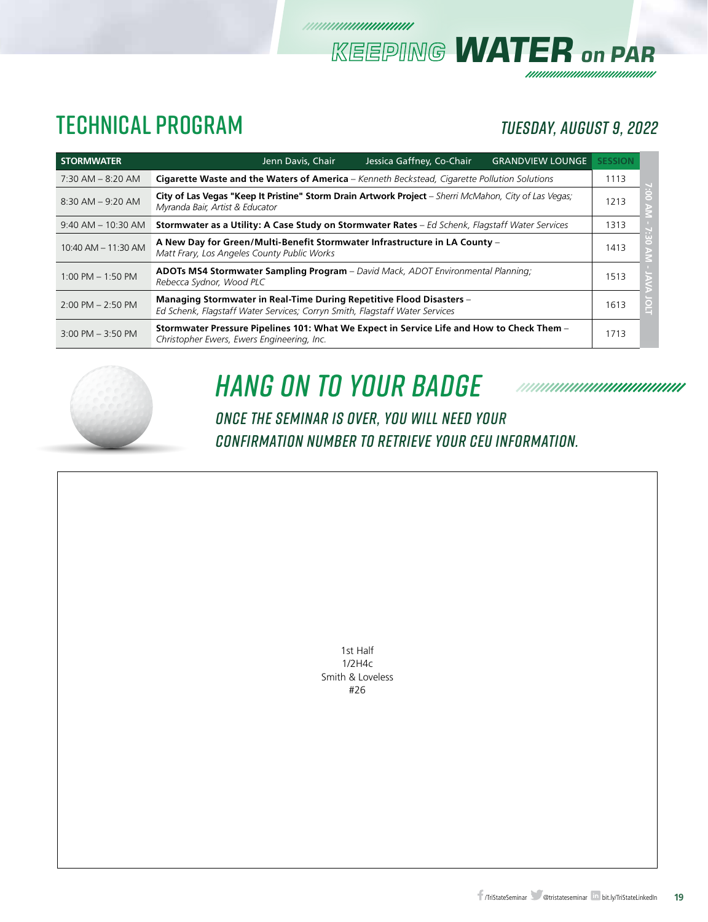### TECHNICAL PROGRAM *TUESDAY, AUGUST 9, 2022*

*KEEPING WATER on PAR*

| <b>STORMWATER</b>      | Jenn Davis, Chair<br>Jessica Gaffney, Co-Chair<br><b>GRANDVIEW LOUNGE</b>                                                                           | <b>SESSION</b> |
|------------------------|-----------------------------------------------------------------------------------------------------------------------------------------------------|----------------|
| $7:30$ AM $-$ 8:20 AM  | Cigarette Waste and the Waters of America - Kenneth Beckstead, Cigarette Pollution Solutions                                                        | 1113           |
| $8:30$ AM $-9:20$ AM   | City of Las Vegas "Keep It Pristine" Storm Drain Artwork Project - Sherri McMahon, City of Las Vegas;<br>Myranda Bair, Artist & Educator            | 1213           |
| $9:40$ AM $- 10:30$ AM | Stormwater as a Utility: A Case Study on Stormwater Rates - Ed Schenk, Flagstaff Water Services                                                     | 1313           |
| 10:40 AM - 11:30 AM    | A New Day for Green/Multi-Benefit Stormwater Infrastructure in LA County -<br>Matt Frary, Los Angeles County Public Works                           | 1413           |
| $1:00$ PM $-1:50$ PM   | ADOTs MS4 Stormwater Sampling Program - David Mack, ADOT Environmental Planning;<br>Rebecca Sydnor, Wood PLC                                        | 1513           |
| $2:00$ PM $- 2:50$ PM  | Managing Stormwater in Real-Time During Repetitive Flood Disasters -<br>Ed Schenk, Flagstaff Water Services; Corryn Smith, Flagstaff Water Services | 1613           |
| $3:00$ PM $-3:50$ PM   | Stormwater Pressure Pipelines 101: What We Expect in Service Life and How to Check Them -<br>Christopher Ewers, Ewers Engineering, Inc.             | 1713           |

///////////////////////////



# *HanG on To YouR BadgE*

*ONCE THE SEMINAR IS OVER, YOU WILL NEED YOUR CONFIRMATION NUMBER TO RETRIEVE YOUR CEU INFORMATION.*

> 1st Half 1/2H4c Smith & Loveless #26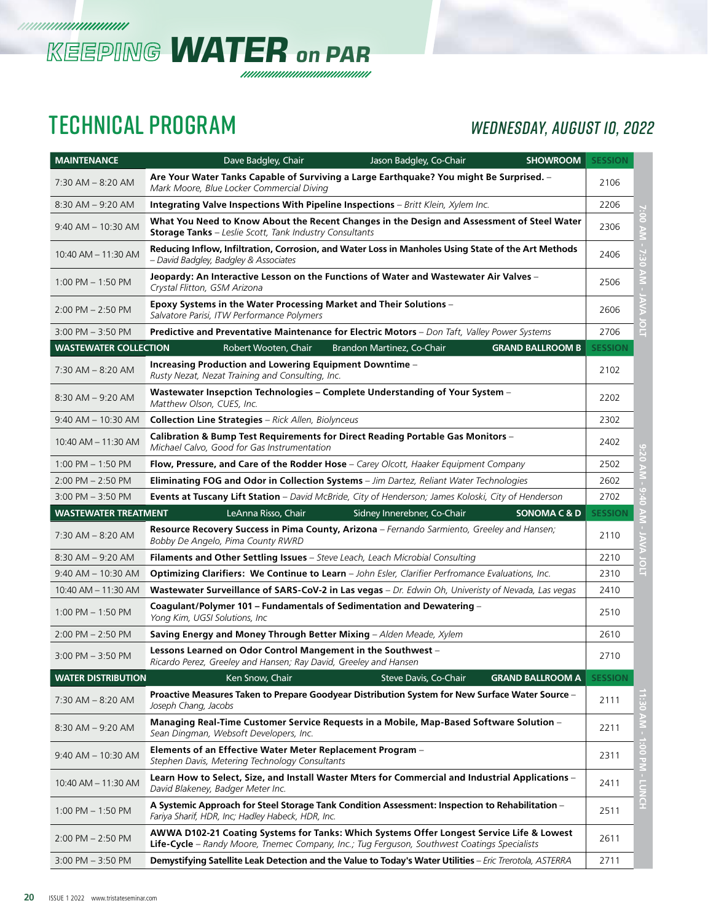

### TECHNICAL PROGRAM *WEDNESDAY, AUGUST 10, 2022*

| <b>MAINTENANCE</b>           | <b>SHOWROOM</b><br>Dave Badgley, Chair<br>Jason Badgley, Co-Chair                                                                                                                         | <b>SESSION</b> |                           |
|------------------------------|-------------------------------------------------------------------------------------------------------------------------------------------------------------------------------------------|----------------|---------------------------|
| $7:30$ AM $-$ 8:20 AM        | Are Your Water Tanks Capable of Surviving a Large Earthquake? You might Be Surprised. -<br>Mark Moore, Blue Locker Commercial Diving                                                      | 2106           |                           |
| $8:30$ AM $-9:20$ AM         | Integrating Valve Inspections With Pipeline Inspections - Britt Klein, Xylem Inc.                                                                                                         | 2206           |                           |
| $9:40$ AM $-$ 10:30 AM       | What You Need to Know About the Recent Changes in the Design and Assessment of Steel Water<br><b>Storage Tanks</b> - Leslie Scott, Tank Industry Consultants                              | 2306           | NV 00:                    |
| 10:40 AM - 11:30 AM          | Reducing Inflow, Infiltration, Corrosion, and Water Loss in Manholes Using State of the Art Methods<br>– David Badgley, Badgley & Associates                                              | 2406           | $-7.30$                   |
| $1:00$ PM $-1:50$ PM         | Jeopardy: An Interactive Lesson on the Functions of Water and Wastewater Air Valves -<br>Crystal Flitton, GSM Arizona                                                                     | 2506           | $\leq$<br>×,              |
| $2:00$ PM $- 2:50$ PM        | Epoxy Systems in the Water Processing Market and Their Solutions -<br>Salvatore Parisi, ITW Performance Polymers                                                                          | 2606           | š                         |
| $3:00$ PM $-3:50$ PM         | Predictive and Preventative Maintenance for Electric Motors - Don Taft, Valley Power Systems                                                                                              | 2706           | ō<br>Ĕ                    |
| <b>WASTEWATER COLLECTION</b> | Robert Wooten, Chair<br><b>GRAND BALLROOM B</b><br>Brandon Martinez, Co-Chair                                                                                                             | <b>SESSION</b> |                           |
| $7:30$ AM $-8:20$ AM         | Increasing Production and Lowering Equipment Downtime –<br>Rusty Nezat, Nezat Training and Consulting, Inc.                                                                               | 2102           |                           |
| $8:30$ AM $-9:20$ AM         | Wastewater Insepction Technologies - Complete Understanding of Your System -<br>Matthew Olson, CUES, Inc.                                                                                 | 2202           |                           |
| $9:40$ AM $- 10:30$ AM       | <b>Collection Line Strategies</b> - Rick Allen, Biolynceus                                                                                                                                | 2302           |                           |
| 10:40 AM - 11:30 AM          | Calibration & Bump Test Requirements for Direct Reading Portable Gas Monitors -<br>Michael Calvo, Good for Gas Instrumentation                                                            | 2402           |                           |
| $1:00$ PM $-1:50$ PM         | Flow, Pressure, and Care of the Rodder Hose - Carey Olcott, Haaker Equipment Company                                                                                                      | 2502           | 9:20 A                    |
| $2:00$ PM $- 2:50$ PM        | Eliminating FOG and Odor in Collection Systems - Jim Dartez, Reliant Water Technologies                                                                                                   | 2602           |                           |
| $3:00$ PM $-3:50$ PM         | Events at Tuscany Lift Station - David McBride, City of Henderson; James Koloski, City of Henderson                                                                                       | 2702           |                           |
| <b>WASTEWATER TREATMENT</b>  | LeAnna Risso, Chair<br>Sidney Innerebner, Co-Chair<br><b>SONOMA C &amp; D</b>                                                                                                             | <b>SESSION</b> |                           |
| $7:30$ AM $-$ 8:20 AM        | Resource Recovery Success in Pima County, Arizona - Fernando Sarmiento, Greeley and Hansen;<br>Bobby De Angelo, Pima County RWRD                                                          | 2110           |                           |
| $8:30$ AM $-9:20$ AM         | Filaments and Other Settling Issues - Steve Leach, Leach Microbial Consulting                                                                                                             | 2210           | ŏ                         |
| $9:40$ AM $- 10:30$ AM       | Optimizing Clarifiers: We Continue to Learn - John Esler, Clarifier Perfromance Evaluations, Inc.                                                                                         | 2310           | 5                         |
| 10:40 AM - 11:30 AM          | Wastewater Surveillance of SARS-CoV-2 in Las vegas - Dr. Edwin Oh, Univeristy of Nevada, Las vegas                                                                                        | 2410           |                           |
| $1:00$ PM $-1:50$ PM         | Coagulant/Polymer 101 – Fundamentals of Sedimentation and Dewatering –<br>Yong Kim, UGSI Solutions, Inc.                                                                                  | 2510           |                           |
| $2:00$ PM $- 2:50$ PM        | Saving Energy and Money Through Better Mixing - Alden Meade, Xylem                                                                                                                        | 2610           |                           |
| $3:00$ PM $-3:50$ PM         | Lessons Learned on Odor Control Mangement in the Southwest -<br>Ricardo Perez, Greeley and Hansen; Ray David, Greeley and Hansen                                                          | 2710           |                           |
| <b>WATER DISTRIBUTION</b>    | Ken Snow, Chair<br><b>GRAND BALLROOM A</b><br>Steve Davis, Co-Chair                                                                                                                       | <b>SESSION</b> |                           |
| 7:30 AM - 8:20 AM            | Proactive Measures Taken to Prepare Goodyear Distribution System for New Surface Water Source -<br>Joseph Chang, Jacobs                                                                   | 2111           |                           |
| 8:30 AM - 9:20 AM            | Managing Real-Time Customer Service Requests in a Mobile, Map-Based Software Solution -<br>Sean Dingman, Websoft Developers, Inc.                                                         | 2211           |                           |
| 9:40 AM - 10:30 AM           | Elements of an Effective Water Meter Replacement Program -<br>Stephen Davis, Metering Technology Consultants                                                                              | 2311           |                           |
| 10:40 AM - 11:30 AM          | Learn How to Select, Size, and Install Waster Mters for Commercial and Industrial Applications -<br>David Blakeney, Badger Meter Inc.                                                     | 2411           | 1:30 AM - 1:00 PM - LUNCH |
| 1:00 PM $-$ 1:50 PM          | A Systemic Approach for Steel Storage Tank Condition Assessment: Inspection to Rehabilitation -<br>Fariya Sharif, HDR, Inc; Hadley Habeck, HDR, Inc.                                      | 2511           |                           |
| $2:00$ PM $- 2:50$ PM        | AWWA D102-21 Coating Systems for Tanks: Which Systems Offer Longest Service Life & Lowest<br>Life-Cycle - Randy Moore, Tnemec Company, Inc.; Tug Ferguson, Southwest Coatings Specialists | 2611           |                           |
| $3:00$ PM $- 3:50$ PM        | Demystifying Satellite Leak Detection and the Value to Today's Water Utilities - Eric Trerotola, ASTERRA                                                                                  | 2711           |                           |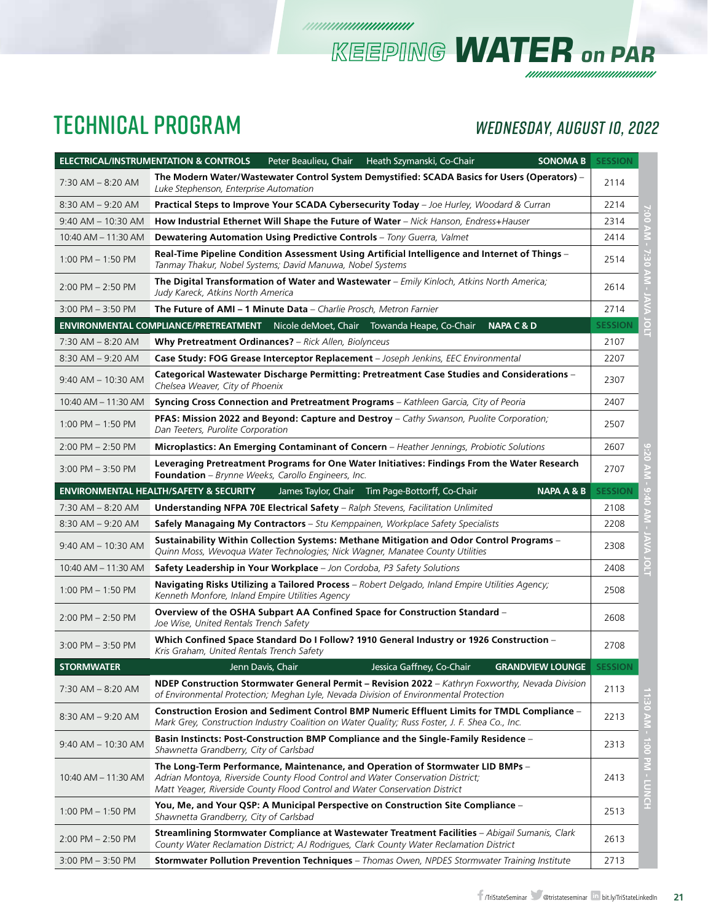## TECHNICAL PROGRAM *WEDNESDAY, AUGUST 10, 2022*

*KEEPING WATER on PAR*

|                        | <b>ELECTRICAL/INSTRUMENTATION &amp; CONTROLS</b><br><b>SONOMA B</b><br>Peter Beaulieu, Chair<br>Heath Szymanski, Co-Chair                                                                                                                        | <b>SESSION</b> |                 |  |  |
|------------------------|--------------------------------------------------------------------------------------------------------------------------------------------------------------------------------------------------------------------------------------------------|----------------|-----------------|--|--|
| $7:30$ AM $-$ 8:20 AM  | The Modern Water/Wastewater Control System Demystified: SCADA Basics for Users (Operators) -<br>Luke Stephenson, Enterprise Automation                                                                                                           | 2114           |                 |  |  |
| $8:30$ AM $-9:20$ AM   | <b>Practical Steps to Improve Your SCADA Cybersecurity Today</b> – Joe Hurley, Woodard & Curran                                                                                                                                                  |                |                 |  |  |
| $9:40$ AM $- 10:30$ AM | How Industrial Ethernet Will Shape the Future of Water - Nick Hanson, Endress+Hauser                                                                                                                                                             | 2314           |                 |  |  |
| 10:40 AM - 11:30 AM    | <b>Dewatering Automation Using Predictive Controls</b> - Tony Guerra, Valmet                                                                                                                                                                     | 2414           |                 |  |  |
| $1:00$ PM $-1:50$ PM   | Real-Time Pipeline Condition Assessment Using Artificial Intelligence and Internet of Things -<br>Tanmay Thakur, Nobel Systems; David Manuwa, Nobel Systems                                                                                      | 2514           |                 |  |  |
| $2:00$ PM $- 2:50$ PM  | <b>The Digital Transformation of Water and Wastewater</b> – Emily Kinloch, Atkins North America;<br>Judy Kareck, Atkins North America                                                                                                            | 2614           |                 |  |  |
| $3:00$ PM $-3:50$ PM   | <b>The Future of AMI - 1 Minute Data</b> - Charlie Prosch, Metron Farnier                                                                                                                                                                        | 2714           |                 |  |  |
|                        | <b>NAPA C &amp; D</b><br><b>ENVIRONMENTAL COMPLIANCE/PRETREATMENT</b> Nicole deMoet, Chair Towanda Heape, Co-Chair                                                                                                                               | <b>SESSION</b> |                 |  |  |
| $7:30$ AM $-8:20$ AM   | Why Pretreatment Ordinances? - Rick Allen, Biolynceus                                                                                                                                                                                            | 2107           |                 |  |  |
| $8:30$ AM $-9:20$ AM   | Case Study: FOG Grease Interceptor Replacement - Joseph Jenkins, EEC Environmental                                                                                                                                                               | 2207           |                 |  |  |
| 9:40 AM - 10:30 AM     | Categorical Wastewater Discharge Permitting: Pretreatment Case Studies and Considerations -<br>Chelsea Weaver, City of Phoenix                                                                                                                   | 2307           |                 |  |  |
| 10:40 AM - 11:30 AM    | Syncing Cross Connection and Pretreatment Programs - Kathleen Garcia, City of Peoria                                                                                                                                                             | 2407           |                 |  |  |
| $1:00$ PM $-1:50$ PM   | PFAS: Mission 2022 and Beyond: Capture and Destroy - Cathy Swanson, Puolite Corporation;<br>Dan Teeters, Purolite Corporation                                                                                                                    | 2507           |                 |  |  |
| $2:00$ PM $- 2:50$ PM  | Microplastics: An Emerging Contaminant of Concern - Heather Jennings, Probiotic Solutions                                                                                                                                                        | 2607           |                 |  |  |
| $3:00$ PM $-3:50$ PM   | Leveraging Pretreatment Programs for One Water Initiatives: Findings From the Water Research<br><b>Foundation</b> – Brynne Weeks, Carollo Engineers, Inc.                                                                                        | 2707           |                 |  |  |
|                        | <b>NAPA A &amp; B</b><br><b>ENVIRONMENTAL HEALTH/SAFETY &amp; SECURITY</b><br>James Taylor, Chair Tim Page-Bottorff, Co-Chair                                                                                                                    | <b>SESSION</b> |                 |  |  |
| $7:30$ AM $-$ 8:20 AM  | <b>Understanding NFPA 70E Electrical Safety</b> - Ralph Stevens, Facilitation Unlimited                                                                                                                                                          | 2108           |                 |  |  |
| $8:30$ AM $-9:20$ AM   | Safely Managaing My Contractors - Stu Kemppainen, Workplace Safety Specialists                                                                                                                                                                   | 2208           |                 |  |  |
| $9:40$ AM $- 10:30$ AM | Sustainability Within Collection Systems: Methane Mitigation and Odor Control Programs –<br>Quinn Moss, Wevoqua Water Technologies; Nick Wagner, Manatee County Utilities                                                                        | 2308           |                 |  |  |
| 10:40 AM - 11:30 AM    | Safety Leadership in Your Workplace - Jon Cordoba, P3 Safety Solutions                                                                                                                                                                           | 2408           | <u>음</u>        |  |  |
| 1:00 PM - 1:50 PM      | Navigating Risks Utilizing a Tailored Process - Robert Delgado, Inland Empire Utilities Agency;<br>Kenneth Monfore, Inland Empire Utilities Agency                                                                                               | 2508           |                 |  |  |
| $2:00$ PM $- 2:50$ PM  | Overview of the OSHA Subpart AA Confined Space for Construction Standard -<br>Joe Wise, United Rentals Trench Safety                                                                                                                             | 2608           |                 |  |  |
| $3:00$ PM $-3:50$ PM   | Which Confined Space Standard Do I Follow? 1910 General Industry or 1926 Construction -<br>Kris Graham, United Rentals Trench Safety                                                                                                             | 2708           |                 |  |  |
| <b>STORMWATER</b>      | Jenn Davis, Chair<br>Jessica Gaffney, Co-Chair<br><b>GRANDVIEW LOUNGE</b>                                                                                                                                                                        | <b>SESSION</b> |                 |  |  |
| 7:30 AM – 8:20 AM      | NDEP Construction Stormwater General Permit - Revision 2022 - Kathryn Foxworthy, Nevada Division<br>of Environmental Protection; Meghan Lyle, Nevada Division of Environmental Protection                                                        | 2113           | ω               |  |  |
| $8:30$ AM $-9:20$ AM   | Construction Erosion and Sediment Control BMP Numeric Effluent Limits for TMDL Compliance –<br>Mark Grey, Construction Industry Coalition on Water Quality; Russ Foster, J. F. Shea Co., Inc.                                                    | 2213           | O<br>NV 0       |  |  |
| 9:40 AM - 10:30 AM     | Basin Instincts: Post-Construction BMP Compliance and the Single-Family Residence -<br>Shawnetta Grandberry, City of Carlsbad                                                                                                                    | 2313           |                 |  |  |
| 10:40 AM - 11:30 AM    | The Long-Term Performance, Maintenance, and Operation of Stormwater LID BMPs -<br>Adrian Montoya, Riverside County Flood Control and Water Conservation District;<br>Matt Yeager, Riverside County Flood Control and Water Conservation District | 2413           | 1:00 PM - LUNCH |  |  |
| $1:00$ PM $- 1:50$ PM  | You, Me, and Your QSP: A Municipal Perspective on Construction Site Compliance -<br>Shawnetta Grandberry, City of Carlsbad                                                                                                                       | 2513           |                 |  |  |
| $2:00$ PM $- 2:50$ PM  | <b>Streamlining Stormwater Compliance at Wastewater Treatment Facilities</b> – Abigail Sumanis, Clark<br>County Water Reclamation District; AJ Rodrigues, Clark County Water Reclamation District                                                | 2613           |                 |  |  |
| $3:00$ PM $- 3:50$ PM  | Stormwater Pollution Prevention Techniques - Thomas Owen, NPDES Stormwater Training Institute                                                                                                                                                    | 2713           |                 |  |  |

*mmmmmmmm*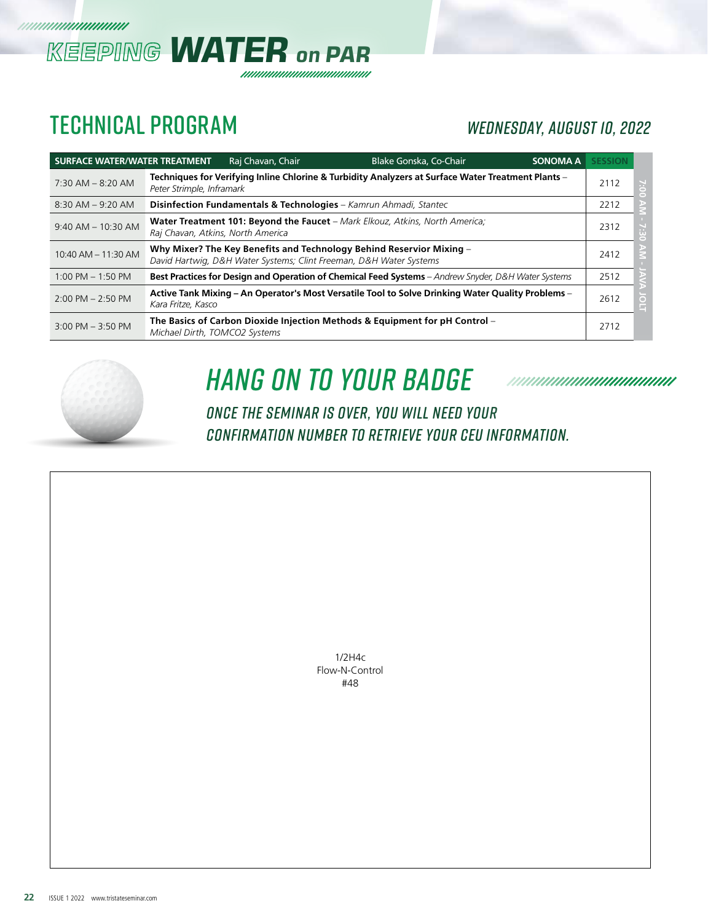

### TECHNICAL PROGRAM *WEDNESDAY, AUGUST 10, 2022*

| <b>SURFACE WATER/WATER TREATMENT</b> |                                   | Raj Chavan, Chair | Blake Gonska, Co-Chair                                                                                                                     | <b>SONOMA A</b> | <b>SESSION</b> |          |
|--------------------------------------|-----------------------------------|-------------------|--------------------------------------------------------------------------------------------------------------------------------------------|-----------------|----------------|----------|
| $7:30$ AM $-$ 8:20 AM                | Peter Strimple, Inframark         |                   | Techniques for Verifying Inline Chlorine & Turbidity Analyzers at Surface Water Treatment Plants -                                         |                 | 2112           | $\equiv$ |
| $8:30$ AM $-9:20$ AM                 |                                   |                   | <b>Disinfection Fundamentals &amp; Technologies</b> - Kamrun Ahmadi, Stantec                                                               |                 | 2212           |          |
| $9:40$ AM $- 10:30$ AM               | Raj Chavan, Atkins, North America |                   | <b>Water Treatment 101: Beyond the Faucet</b> – Mark Elkouz, Atkins, North America;                                                        |                 | 2312           |          |
| 10:40 AM - 11:30 AM                  |                                   |                   | Why Mixer? The Key Benefits and Technology Behind Reservior Mixing -<br>David Hartwig, D&H Water Systems; Clint Freeman, D&H Water Systems |                 | 2412           |          |
| $1:00$ PM $-1:50$ PM                 |                                   |                   | Best Practices for Design and Operation of Chemical Feed Systems - Andrew Snyder, D&H Water Systems                                        |                 | 2512           |          |
| $2:00$ PM $- 2:50$ PM                | Kara Fritze, Kasco                |                   | Active Tank Mixing – An Operator's Most Versatile Tool to Solve Drinking Water Quality Problems –                                          |                 | 2612           |          |
| $3:00$ PM $-3:50$ PM                 | Michael Dirth, TOMCO2 Systems     |                   | The Basics of Carbon Dioxide Injection Methods & Equipment for pH Control -                                                                |                 | 2712           |          |



# *HanG on To YouR BadgE*

*ONCE THE SEMINAR IS OVER, YOU WILL NEED YOUR CONFIRMATION NUMBER TO RETRIEVE YOUR CEU INFORMATION.*

> 1/2H4c Flow-N-Control #48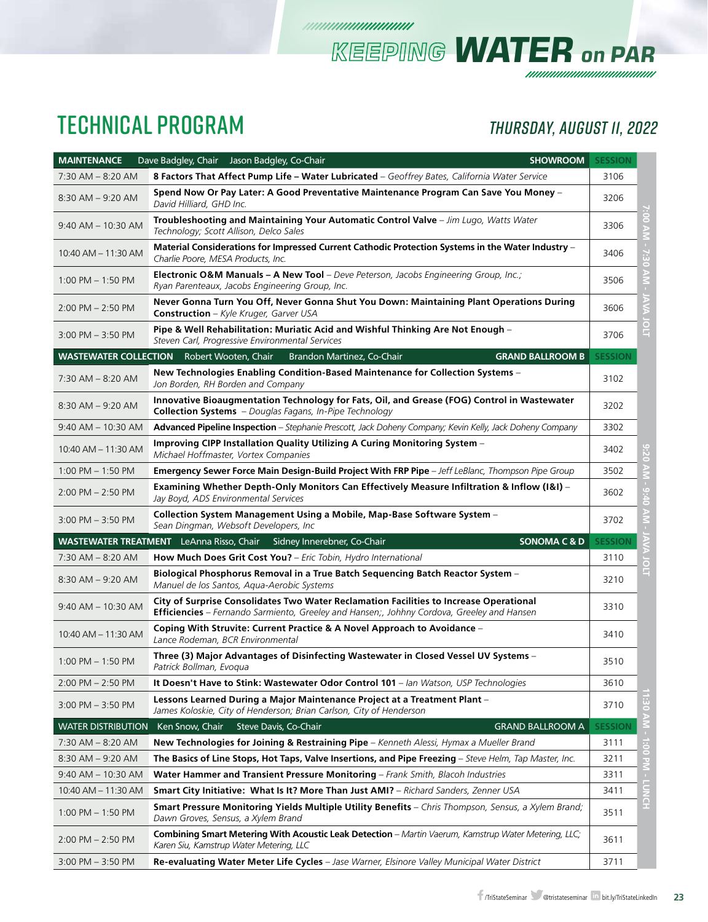### TECHNICAL PROGRAM *ThursDAY, AUGUST 11, 2022*

*KEEPING WATER on PAR*

| <b>MAINTENANCE</b>        | <b>SHOWROOM</b><br>Dave Badgley, Chair Jason Badgley, Co-Chair                                                                                                                       | <b>SESSION</b>           |
|---------------------------|--------------------------------------------------------------------------------------------------------------------------------------------------------------------------------------|--------------------------|
| 7:30 AM - 8:20 AM         | 8 Factors That Affect Pump Life - Water Lubricated - Geoffrey Bates, California Water Service                                                                                        | 3106                     |
| $8:30$ AM $-9:20$ AM      | Spend Now Or Pay Later: A Good Preventative Maintenance Program Can Save You Money -<br>David Hilliard, GHD Inc.                                                                     | 3206                     |
| $9:40$ AM $-$ 10:30 AM    | Troubleshooting and Maintaining Your Automatic Control Valve - Jim Lugo, Watts Water<br>Technology; Scott Allison, Delco Sales                                                       | 00.4<br>3306             |
| 10:40 AM - 11:30 AM       | Material Considerations for Impressed Current Cathodic Protection Systems in the Water Industry -<br>Charlie Poore, MESA Products, Inc.                                              | $-7.30$<br>3406          |
| $1:00$ PM $- 1:50$ PM     | Electronic O&M Manuals - A New Tool - Deve Peterson, Jacobs Engineering Group, Inc.;<br>Ryan Parenteaux, Jacobs Engineering Group, Inc.                                              | <b>AIN</b><br>3506       |
| $2:00$ PM $- 2:50$ PM     | Never Gonna Turn You Off, Never Gonna Shut You Down: Maintaining Plant Operations During<br>Construction - Kyle Kruger, Garver USA                                                   | 3606                     |
| $3:00$ PM $-3:50$ PM      | Pipe & Well Rehabilitation: Muriatic Acid and Wishful Thinking Are Not Enough -<br>Steven Carl, Progressive Environmental Services                                                   | <b>DOLT</b><br>3706      |
|                           | <b>WASTEWATER COLLECTION</b> Robert Wooten, Chair<br><b>GRAND BALLROOM B</b><br>Brandon Martinez, Co-Chair                                                                           | <b>SESSION</b>           |
| $7:30$ AM $-8:20$ AM      | New Technologies Enabling Condition-Based Maintenance for Collection Systems -<br>Jon Borden, RH Borden and Company                                                                  | 3102                     |
| $8:30$ AM $-9:20$ AM      | Innovative Bioaugmentation Technology for Fats, Oil, and Grease (FOG) Control in Wastewater<br><b>Collection Systems</b> - Douglas Fagans, In-Pipe Technology                        | 3202                     |
| $9:40$ AM $- 10:30$ AM    | Advanced Pipeline Inspection - Stephanie Prescott, Jack Doheny Company; Kevin Kelly, Jack Doheny Company                                                                             | 3302                     |
| 10:40 AM - 11:30 AM       | Improving CIPP Installation Quality Utilizing A Curing Monitoring System -<br>Michael Hoffmaster, Vortex Companies                                                                   | 0.20<br>3402             |
| $1:00$ PM $- 1:50$ PM     | Emergency Sewer Force Main Design-Build Project With FRP Pipe - Jeff LeBlanc, Thompson Pipe Group                                                                                    | $\geq$<br>3502           |
| $2:00$ PM $- 2:50$ PM     | Examining Whether Depth-Only Monitors Can Effectively Measure Infiltration & Inflow (I&I) -<br>Jay Boyd, ADS Environmental Services                                                  | $0 + 6$<br>3602          |
| $3:00$ PM $-3:50$ PM      | Collection System Management Using a Mobile, Map-Base Software System -<br>Sean Dingman, Websoft Developers, Inc                                                                     | 3702                     |
|                           | <b>WASTEWATER TREATMENT</b> LeAnna Risso, Chair<br><b>SONOMA C &amp; D</b><br>Sidney Innerebner, Co-Chair                                                                            | <b>SESSION</b>           |
| 7:30 AM - 8:20 AM         | How Much Does Grit Cost You? - Eric Tobin, Hydro International                                                                                                                       | 3110<br>$\circ$          |
| $8:30$ AM $-9:20$ AM      | Biological Phosphorus Removal in a True Batch Sequencing Batch Reactor System -<br>Manuel de los Santos, Aqua-Aerobic Systems                                                        | E<br>3210                |
| $9:40$ AM $- 10:30$ AM    | City of Surprise Consolidates Two Water Reclamation Facilities to Increase Operational<br>Efficiencies - Fernando Sarmiento, Greeley and Hansen;, Johhny Cordova, Greeley and Hansen | 3310                     |
| 10:40 AM - 11:30 AM       | Coping With Struvite: Current Practice & A Novel Approach to Avoidance -<br>Lance Rodeman, BCR Environmental                                                                         | 3410                     |
| 1:00 PM - 1:50 PM         | Three (3) Major Advantages of Disinfecting Wastewater in Closed Vessel UV Systems -<br>Patrick Bollman, Evoqua                                                                       | 3510                     |
| $2:00$ PM $- 2:50$ PM     | It Doesn't Have to Stink: Wastewater Odor Control 101 - Ian Watson, USP Technologies                                                                                                 | 3610                     |
| $3:00$ PM $-3:50$ PM      | Lessons Learned During a Major Maintenance Project at a Treatment Plant -<br>James Koloskie, City of Henderson; Brian Carlson, City of Henderson                                     | ë<br>3710                |
| <b>WATER DISTRIBUTION</b> | Ken Snow, Chair<br><b>GRAND BALLROOM A</b><br>Steve Davis, Co-Chair                                                                                                                  | $\geq$<br><b>SESSION</b> |
| $7:30$ AM $-8:20$ AM      | New Technologies for Joining & Restraining Pipe - Kenneth Alessi, Hymax a Mueller Brand                                                                                              | 3111                     |
| $8:30$ AM $-9:20$ AM      | The Basics of Line Stops, Hot Taps, Valve Insertions, and Pipe Freezing – Steve Helm, Tap Master, Inc.                                                                               | 1:00 PM - LUNCH<br>3211  |
| 9:40 AM - 10:30 AM        | <b>Water Hammer and Transient Pressure Monitoring</b> – Frank Smith, Blacoh Industries                                                                                               | 3311                     |
| 10:40 AM - 11:30 AM       | <b>Smart City Initiative: What Is It? More Than Just AMI?</b> – Richard Sanders, Zenner USA                                                                                          | 3411                     |
| $1:00$ PM $-1:50$ PM      | Smart Pressure Monitoring Yields Multiple Utility Benefits - Chris Thompson, Sensus, a Xylem Brand;<br>Dawn Groves, Sensus, a Xylem Brand                                            | 3511                     |
| $2:00$ PM $- 2:50$ PM     | Combining Smart Metering With Acoustic Leak Detection - Martin Vaerum, Kamstrup Water Metering, LLC;<br>Karen Siu, Kamstrup Water Metering, LLC                                      | 3611                     |
| $3:00$ PM $- 3:50$ PM     | Re-evaluating Water Meter Life Cycles - Jase Warner, Elsinore Valley Municipal Water District                                                                                        | 3711                     |

*mmmmmmmm*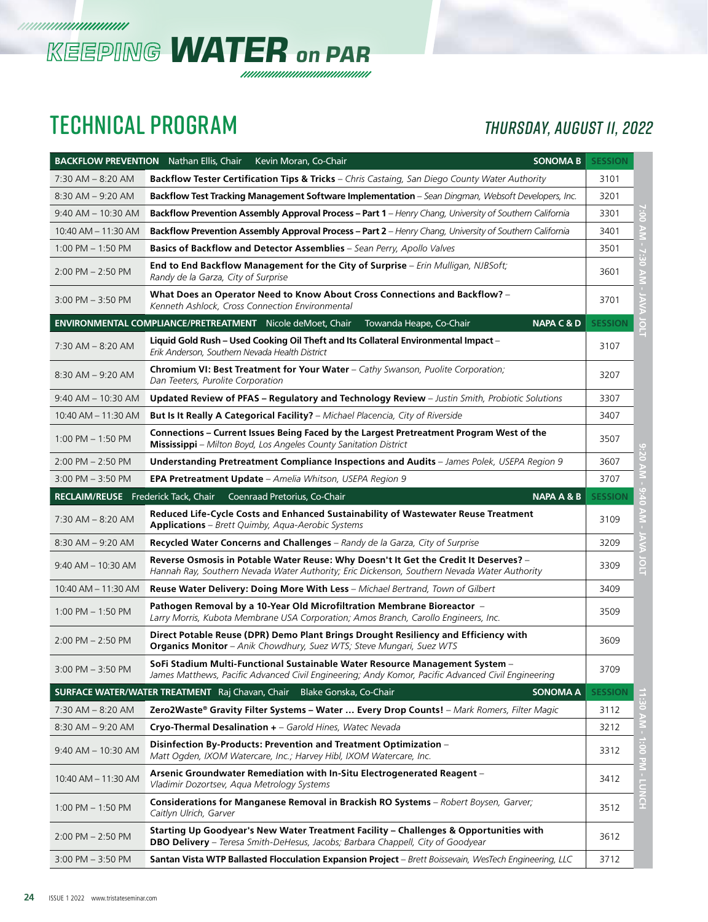

### TECHNICAL PROGRAM *ThursDAY, AUGUST 11, 2022*

|                                     | <b>BACKFLOW PREVENTION</b> Nathan Ellis, Chair<br><b>SONOMA B</b><br>Kevin Moran, Co-Chair                                                                                           | <b>SESSION</b> |                 |
|-------------------------------------|--------------------------------------------------------------------------------------------------------------------------------------------------------------------------------------|----------------|-----------------|
| $7:30$ AM $-$ 8:20 AM               | <b>Backflow Tester Certification Tips &amp; Tricks</b> - Chris Castaing, San Diego County Water Authority                                                                            | 3101           |                 |
| $8:30$ AM $-9:20$ AM                | Backflow Test Tracking Management Software Implementation - Sean Dingman, Websoft Developers, Inc.                                                                                   | 3201           |                 |
| $9:40$ AM $- 10:30$ AM              | <b>Backflow Prevention Assembly Approval Process – Part 1</b> – Henry Chang, University of Southern California                                                                       | 3301           |                 |
| 10:40 AM - 11:30 AM                 | Backflow Prevention Assembly Approval Process - Part 2 - Henry Chang, University of Southern California                                                                              | 3401           |                 |
| $1:00$ PM $-1:50$ PM                | Basics of Backflow and Detector Assemblies - Sean Perry, Apollo Valves                                                                                                               | 3501           |                 |
| $2:00$ PM $- 2:50$ PM               | <b>End to End Backflow Management for the City of Surprise</b> - Erin Mulligan, NJBSoft;<br>Randy de la Garza, City of Surprise                                                      | 3601           | G               |
| $3:00$ PM $-3:50$ PM                | What Does an Operator Need to Know About Cross Connections and Backflow? -<br>Kenneth Ashlock, Cross Connection Environmental                                                        | 3701           |                 |
|                                     | ENVIRONMENTAL COMPLIANCE/PRETREATMENT Nicole deMoet, Chair<br><b>NAPA C &amp; D</b><br>Towanda Heape, Co-Chair                                                                       | <b>SESSION</b> | Ĕ               |
| 7:30 AM - 8:20 AM                   | Liquid Gold Rush - Used Cooking Oil Theft and Its Collateral Environmental Impact -<br>Erik Anderson, Southern Nevada Health District                                                | 3107           |                 |
| $8:30$ AM $-9:20$ AM                | <b>Chromium VI: Best Treatment for Your Water</b> – Cathy Swanson, Puolite Corporation;<br>Dan Teeters, Purolite Corporation                                                         | 3207           |                 |
| $9:40$ AM $- 10:30$ AM              | Updated Review of PFAS - Regulatory and Technology Review - Justin Smith, Probiotic Solutions                                                                                        | 3307           |                 |
| 10:40 AM - 11:30 AM                 | But Is It Really A Categorical Facility? - Michael Placencia, City of Riverside                                                                                                      | 3407           |                 |
| $1:00$ PM $-1:50$ PM                | Connections – Current Issues Being Faced by the Largest Pretreatment Program West of the<br>Mississippi - Milton Boyd, Los Angeles County Sanitation District                        | 3507           |                 |
| $2:00$ PM $- 2:50$ PM               | <b>Understanding Pretreatment Compliance Inspections and Audits</b> - James Polek, USEPA Region 9                                                                                    | 3607           |                 |
| $3:00$ PM $-3:50$ PM                | <b>EPA Pretreatment Update</b> – Amelia Whitson, USEPA Region 9                                                                                                                      | 3707           |                 |
| RECLAIM/REUSE Frederick Tack, Chair | Coenraad Pretorius, Co-Chair<br><b>NAPA A &amp; B</b>                                                                                                                                | <b>SESSION</b> |                 |
| 7:30 AM - 8:20 AM                   | Reduced Life-Cycle Costs and Enhanced Sustainability of Wastewater Reuse Treatment<br><b>Applications</b> - Brett Quimby, Aqua-Aerobic Systems                                       | 3109           |                 |
| $8:30$ AM $-9:20$ AM                | Recycled Water Concerns and Challenges - Randy de la Garza, City of Surprise                                                                                                         | 3209           |                 |
| $9:40$ AM $- 10:30$ AM              | Reverse Osmosis in Potable Water Reuse: Why Doesn't It Get the Credit It Deserves? -<br>Hannah Ray, Southern Nevada Water Authority; Eric Dickenson, Southern Nevada Water Authority | 3309           | $\overline{C}$  |
| 10:40 AM - 11:30 AM                 | Reuse Water Delivery: Doing More With Less - Michael Bertrand, Town of Gilbert                                                                                                       | 3409           |                 |
| $1:00$ PM $-1:50$ PM                | Pathogen Removal by a 10-Year Old Microfiltration Membrane Bioreactor –<br>Larry Morris, Kubota Membrane USA Corporation; Amos Branch, Carollo Engineers, Inc.                       | 3509           |                 |
| $2:00$ PM $- 2:50$ PM               | Direct Potable Reuse (DPR) Demo Plant Brings Drought Resiliency and Efficiency with<br>Organics Monitor - Anik Chowdhury, Suez WTS; Steve Mungari, Suez WTS                          | 3609           |                 |
| $3:00$ PM $-3:50$ PM                | SoFi Stadium Multi-Functional Sustainable Water Resource Management System –<br>James Matthews, Pacific Advanced Civil Engineering; Andy Komor, Pacific Advanced Civil Engineering   | 3709           |                 |
|                                     | SURFACE WATER/WATER TREATMENT Raj Chavan, Chair Blake Gonska, Co-Chair<br><b>SONOMA A</b>                                                                                            | <b>SESSION</b> |                 |
| 7:30 AM - 8:20 AM                   | Zero2Waste® Gravity Filter Systems - Water  Every Drop Counts! - Mark Romers, Filter Magic                                                                                           | 3112           | ŏ               |
| $8:30$ AM $-9:20$ AM                | Cryo-Thermal Desalination + - Garold Hines, Watec Nevada                                                                                                                             | 3212           | AM -            |
| 9:40 AM - 10:30 AM                  | Disinfection By-Products: Prevention and Treatment Optimization -<br>Matt Ogden, IXOM Watercare, Inc.; Harvey Hibl, IXOM Watercare, Inc.                                             | 3312           |                 |
| 10:40 AM - 11:30 AM                 | Arsenic Groundwater Remediation with In-Situ Electrogenerated Reagent -<br>Vladimir Dozortsev, Aqua Metrology Systems                                                                | 3412           | 1:00 PM - LUNCH |
| 1:00 PM $-$ 1:50 PM                 | Considerations for Manganese Removal in Brackish RO Systems - Robert Boysen, Garver;<br>Caitlyn Ulrich, Garver                                                                       | 3512           |                 |
| 2:00 PM - 2:50 PM                   | Starting Up Goodyear's New Water Treatment Facility - Challenges & Opportunities with<br><b>DBO Delivery</b> - Teresa Smith-DeHesus, Jacobs; Barbara Chappell, City of Goodyear      | 3612           |                 |
| $3:00$ PM $- 3:50$ PM               | Santan Vista WTP Ballasted Flocculation Expansion Project - Brett Boissevain, WesTech Engineering, LLC                                                                               | 3712           |                 |